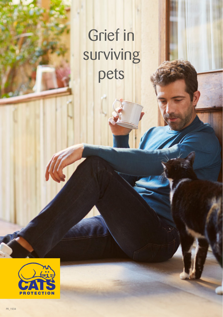## Grief in surviving pets